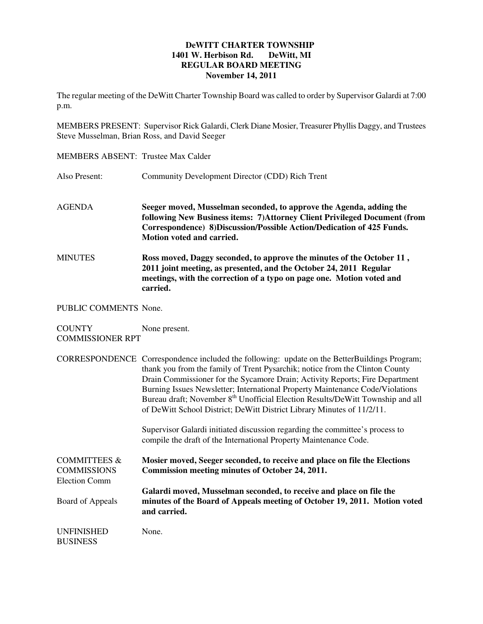## **DeWITT CHARTER TOWNSHIP 1401 W. Herbison Rd. DeWitt, MI REGULAR BOARD MEETING November 14, 2011**

The regular meeting of the DeWitt Charter Township Board was called to order by Supervisor Galardi at 7:00 p.m.

MEMBERS PRESENT: Supervisor Rick Galardi, Clerk Diane Mosier, Treasurer Phyllis Daggy, and Trustees Steve Musselman, Brian Ross, and David Seeger

| <b>MEMBERS ABSENT: Trustee Max Calder</b>                             |                                                                                                                                                                                                                                                                                                                                                                                                                                                                                                                       |
|-----------------------------------------------------------------------|-----------------------------------------------------------------------------------------------------------------------------------------------------------------------------------------------------------------------------------------------------------------------------------------------------------------------------------------------------------------------------------------------------------------------------------------------------------------------------------------------------------------------|
| Also Present:                                                         | Community Development Director (CDD) Rich Trent                                                                                                                                                                                                                                                                                                                                                                                                                                                                       |
| <b>AGENDA</b>                                                         | Seeger moved, Musselman seconded, to approve the Agenda, adding the<br>following New Business items: 7) Attorney Client Privileged Document (from<br>Correspondence) 8)Discussion/Possible Action/Dedication of 425 Funds.<br>Motion voted and carried.                                                                                                                                                                                                                                                               |
| <b>MINUTES</b>                                                        | Ross moved, Daggy seconded, to approve the minutes of the October 11,<br>2011 joint meeting, as presented, and the October 24, 2011 Regular<br>meetings, with the correction of a typo on page one. Motion voted and<br>carried.                                                                                                                                                                                                                                                                                      |
| PUBLIC COMMENTS None.                                                 |                                                                                                                                                                                                                                                                                                                                                                                                                                                                                                                       |
| <b>COUNTY</b><br><b>COMMISSIONER RPT</b>                              | None present.                                                                                                                                                                                                                                                                                                                                                                                                                                                                                                         |
|                                                                       | CORRESPONDENCE Correspondence included the following: update on the BetterBuildings Program;<br>thank you from the family of Trent Pysarchik; notice from the Clinton County<br>Drain Commissioner for the Sycamore Drain; Activity Reports; Fire Department<br>Burning Issues Newsletter; International Property Maintenance Code/Violations<br>Bureau draft; November 8 <sup>th</sup> Unofficial Election Results/DeWitt Township and all<br>of DeWitt School District; DeWitt District Library Minutes of 11/2/11. |
|                                                                       | Supervisor Galardi initiated discussion regarding the committee's process to<br>compile the draft of the International Property Maintenance Code.                                                                                                                                                                                                                                                                                                                                                                     |
| <b>COMMITTEES &amp;</b><br><b>COMMISSIONS</b><br><b>Election Comm</b> | Mosier moved, Seeger seconded, to receive and place on file the Elections<br>Commission meeting minutes of October 24, 2011.                                                                                                                                                                                                                                                                                                                                                                                          |
| Board of Appeals                                                      | Galardi moved, Musselman seconded, to receive and place on file the<br>minutes of the Board of Appeals meeting of October 19, 2011. Motion voted<br>and carried.                                                                                                                                                                                                                                                                                                                                                      |
| <b>UNFINISHED</b><br><b>BUSINESS</b>                                  | None.                                                                                                                                                                                                                                                                                                                                                                                                                                                                                                                 |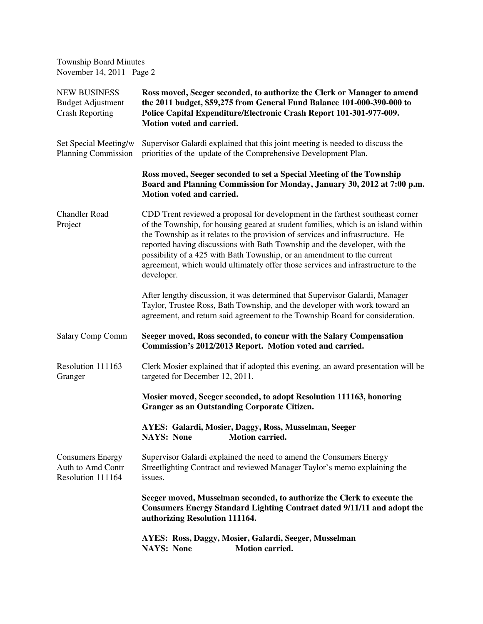| <b>Township Board Minutes</b><br>November 14, 2011 Page 2                 |                                                                                                                                                                                                                                                                                                                                                                                                                                                                                                                   |
|---------------------------------------------------------------------------|-------------------------------------------------------------------------------------------------------------------------------------------------------------------------------------------------------------------------------------------------------------------------------------------------------------------------------------------------------------------------------------------------------------------------------------------------------------------------------------------------------------------|
| <b>NEW BUSINESS</b><br><b>Budget Adjustment</b><br><b>Crash Reporting</b> | Ross moved, Seeger seconded, to authorize the Clerk or Manager to amend<br>the 2011 budget, \$59,275 from General Fund Balance 101-000-390-000 to<br>Police Capital Expenditure/Electronic Crash Report 101-301-977-009.<br>Motion voted and carried.                                                                                                                                                                                                                                                             |
| Set Special Meeting/w<br><b>Planning Commission</b>                       | Supervisor Galardi explained that this joint meeting is needed to discuss the<br>priorities of the update of the Comprehensive Development Plan.                                                                                                                                                                                                                                                                                                                                                                  |
|                                                                           | Ross moved, Seeger seconded to set a Special Meeting of the Township<br>Board and Planning Commission for Monday, January 30, 2012 at 7:00 p.m.<br>Motion voted and carried.                                                                                                                                                                                                                                                                                                                                      |
| <b>Chandler Road</b><br>Project                                           | CDD Trent reviewed a proposal for development in the farthest southeast corner<br>of the Township, for housing geared at student families, which is an island within<br>the Township as it relates to the provision of services and infrastructure. He<br>reported having discussions with Bath Township and the developer, with the<br>possibility of a 425 with Bath Township, or an amendment to the current<br>agreement, which would ultimately offer those services and infrastructure to the<br>developer. |
|                                                                           | After lengthy discussion, it was determined that Supervisor Galardi, Manager<br>Taylor, Trustee Ross, Bath Township, and the developer with work toward an<br>agreement, and return said agreement to the Township Board for consideration.                                                                                                                                                                                                                                                                       |
| Salary Comp Comm                                                          | Seeger moved, Ross seconded, to concur with the Salary Compensation<br>Commission's 2012/2013 Report. Motion voted and carried.                                                                                                                                                                                                                                                                                                                                                                                   |
| Resolution 111163<br>Granger                                              | Clerk Mosier explained that if adopted this evening, an award presentation will be<br>targeted for December 12, 2011.                                                                                                                                                                                                                                                                                                                                                                                             |
|                                                                           | Mosier moved, Seeger seconded, to adopt Resolution 111163, honoring<br><b>Granger as an Outstanding Corporate Citizen.</b>                                                                                                                                                                                                                                                                                                                                                                                        |
|                                                                           | AYES: Galardi, Mosier, Daggy, Ross, Musselman, Seeger<br><b>NAYS: None</b><br><b>Motion carried.</b>                                                                                                                                                                                                                                                                                                                                                                                                              |
| <b>Consumers Energy</b><br>Auth to Amd Contr<br>Resolution 111164         | Supervisor Galardi explained the need to amend the Consumers Energy<br>Streetlighting Contract and reviewed Manager Taylor's memo explaining the<br>issues.                                                                                                                                                                                                                                                                                                                                                       |
|                                                                           | Seeger moved, Musselman seconded, to authorize the Clerk to execute the<br><b>Consumers Energy Standard Lighting Contract dated 9/11/11 and adopt the</b><br>authorizing Resolution 111164.                                                                                                                                                                                                                                                                                                                       |
|                                                                           | AYES: Ross, Daggy, Mosier, Galardi, Seeger, Musselman<br><b>Motion carried.</b><br><b>NAYS: None</b>                                                                                                                                                                                                                                                                                                                                                                                                              |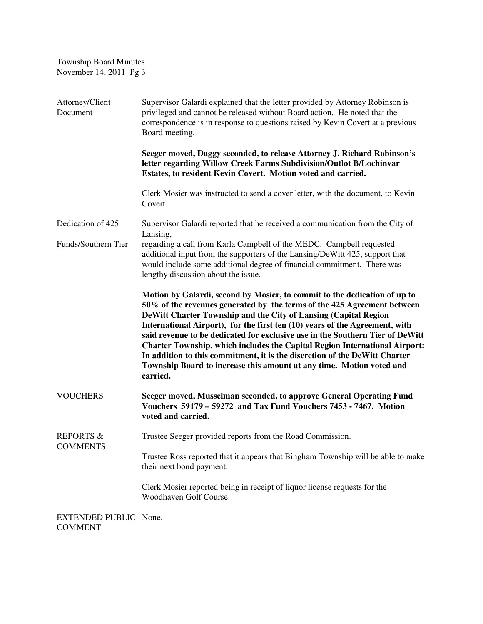| <b>Township Board Minutes</b><br>November 14, 2011 Pg 3 |                                                                                                                                                                                                                                                                                                                                                                                                                                                                                                                                                                                                                                                |
|---------------------------------------------------------|------------------------------------------------------------------------------------------------------------------------------------------------------------------------------------------------------------------------------------------------------------------------------------------------------------------------------------------------------------------------------------------------------------------------------------------------------------------------------------------------------------------------------------------------------------------------------------------------------------------------------------------------|
| Attorney/Client<br>Document                             | Supervisor Galardi explained that the letter provided by Attorney Robinson is<br>privileged and cannot be released without Board action. He noted that the<br>correspondence is in response to questions raised by Kevin Covert at a previous<br>Board meeting.                                                                                                                                                                                                                                                                                                                                                                                |
|                                                         | Seeger moved, Daggy seconded, to release Attorney J. Richard Robinson's<br>letter regarding Willow Creek Farms Subdivision/Outlot B/Lochinvar<br>Estates, to resident Kevin Covert. Motion voted and carried.                                                                                                                                                                                                                                                                                                                                                                                                                                  |
|                                                         | Clerk Mosier was instructed to send a cover letter, with the document, to Kevin<br>Covert.                                                                                                                                                                                                                                                                                                                                                                                                                                                                                                                                                     |
| Dedication of 425                                       | Supervisor Galardi reported that he received a communication from the City of                                                                                                                                                                                                                                                                                                                                                                                                                                                                                                                                                                  |
| Funds/Southern Tier                                     | Lansing,<br>regarding a call from Karla Campbell of the MEDC. Campbell requested<br>additional input from the supporters of the Lansing/DeWitt 425, support that<br>would include some additional degree of financial commitment. There was<br>lengthy discussion about the issue.                                                                                                                                                                                                                                                                                                                                                             |
|                                                         | Motion by Galardi, second by Mosier, to commit to the dedication of up to<br>50% of the revenues generated by the terms of the 425 Agreement between<br>DeWitt Charter Township and the City of Lansing (Capital Region<br>International Airport), for the first ten (10) years of the Agreement, with<br>said revenue to be dedicated for exclusive use in the Southern Tier of DeWitt<br><b>Charter Township, which includes the Capital Region International Airport:</b><br>In addition to this commitment, it is the discretion of the DeWitt Charter<br>Township Board to increase this amount at any time. Motion voted and<br>carried. |
| <b>VOUCHERS</b>                                         | Seeger moved, Musselman seconded, to approve General Operating Fund<br>Vouchers 59179 - 59272 and Tax Fund Vouchers 7453 - 7467. Motion<br>voted and carried.                                                                                                                                                                                                                                                                                                                                                                                                                                                                                  |
| <b>REPORTS &amp;</b><br><b>COMMENTS</b>                 | Trustee Seeger provided reports from the Road Commission.                                                                                                                                                                                                                                                                                                                                                                                                                                                                                                                                                                                      |
|                                                         | Trustee Ross reported that it appears that Bingham Township will be able to make<br>their next bond payment.                                                                                                                                                                                                                                                                                                                                                                                                                                                                                                                                   |
|                                                         | Clerk Mosier reported being in receipt of liquor license requests for the<br>Woodhaven Golf Course.                                                                                                                                                                                                                                                                                                                                                                                                                                                                                                                                            |
| EXTENDED PUBLIC None.<br><b>COMMENT</b>                 |                                                                                                                                                                                                                                                                                                                                                                                                                                                                                                                                                                                                                                                |